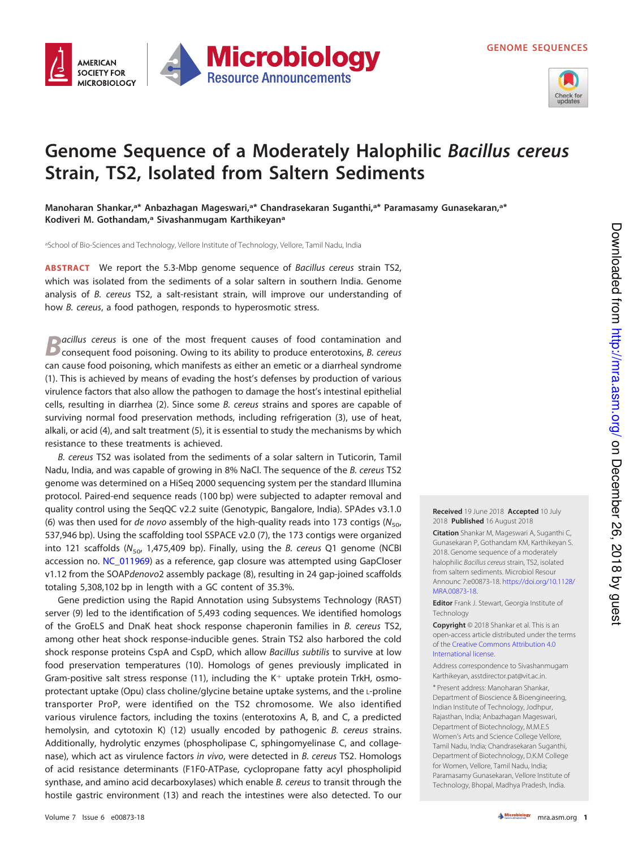

## **Genome Sequence of a Moderately Halophilic Bacillus cereus Strain, TS2, Isolated from Saltern Sediments**

**Microbiology** 

**Resource Announcements** 

**Manoharan Shankar,<sup>a</sup> \* Anbazhagan Mageswari,<sup>a</sup> \* Chandrasekaran Suganthi,<sup>a</sup> \* Paramasamy Gunasekaran,<sup>a</sup> \* Kodiveri M. Gothandam,<sup>a</sup> Sivashanmugam Karthikeyan<sup>a</sup>**

aSchool of Bio-Sciences and Technology, Vellore Institute of Technology, Vellore, Tamil Nadu, India

**AMERICAN SOCIETY FOR** 

**MICROBIOLOGY** 

**ABSTRACT** We report the 5.3-Mbp genome sequence of Bacillus cereus strain TS2, which was isolated from the sediments of a solar saltern in southern India. Genome analysis of B. cereus TS2, a salt-resistant strain, will improve our understanding of how B. cereus, a food pathogen, responds to hyperosmotic stress.

**B** acillus cereus is one of the most frequent causes of food contamination and consequent food poisoning. Owing to its ability to produce enterotoxins, B. cereus can cause food poisoning, which manifests as either an emetic or a diarrheal syndrome [\(1\)](#page-1-0). This is achieved by means of evading the host's defenses by production of various virulence factors that also allow the pathogen to damage the host's intestinal epithelial cells, resulting in diarrhea  $(2)$ . Since some *B. cereus* strains and spores are capable of surviving normal food preservation methods, including refrigeration [\(3\)](#page-1-2), use of heat, alkali, or acid [\(4\)](#page-1-3), and salt treatment [\(5\)](#page-1-4), it is essential to study the mechanisms by which resistance to these treatments is achieved.

B. cereus TS2 was isolated from the sediments of a solar saltern in Tuticorin, Tamil Nadu, India, and was capable of growing in 8% NaCl. The sequence of the B. cereus TS2 genome was determined on a HiSeq 2000 sequencing system per the standard Illumina protocol. Paired-end sequence reads (100 bp) were subjected to adapter removal and quality control using the SeqQC v2.2 suite (Genotypic, Bangalore, India). SPAdes v3.1.0 [\(6\)](#page-1-5) was then used for de novo assembly of the high-quality reads into 173 contigs ( $N_{50}$ , 537,946 bp). Using the scaffolding tool SSPACE v2.0 [\(7\)](#page-1-6), the 173 contigs were organized into 121 scaffolds ( $N_{50}$ , 1,475,409 bp). Finally, using the B. cereus Q1 genome (NCBI accession no. NC\_011969) as a reference, gap closure was attempted using GapCloser v1.12 from the SOAPdenovo2 assembly package [\(8\)](#page-1-7), resulting in 24 gap-joined scaffolds totaling 5,308,102 bp in length with a GC content of 35.3%.

Gene prediction using the Rapid Annotation using Subsystems Technology (RAST) server [\(9\)](#page-1-8) led to the identification of 5,493 coding sequences. We identified homologs of the GroELS and DnaK heat shock response chaperonin families in B. cereus TS2, among other heat shock response-inducible genes. Strain TS2 also harbored the cold shock response proteins CspA and CspD, which allow Bacillus subtilis to survive at low food preservation temperatures [\(10\)](#page-1-9). Homologs of genes previously implicated in Gram-positive salt stress response [\(11\)](#page-1-10), including the  $K^+$  uptake protein TrkH, osmoprotectant uptake (Opu) class choline/glycine betaine uptake systems, and the L-proline transporter ProP, were identified on the TS2 chromosome. We also identified various virulence factors, including the toxins (enterotoxins A, B, and C, a predicted hemolysin, and cytotoxin K) [\(12\)](#page-1-11) usually encoded by pathogenic B. cereus strains. Additionally, hydrolytic enzymes (phospholipase C, sphingomyelinase C, and collagenase), which act as virulence factors in vivo, were detected in B. cereus TS2. Homologs of acid resistance determinants (F1F0-ATPase, cyclopropane fatty acyl phospholipid synthase, and amino acid decarboxylases) which enable B. cereus to transit through the hostile gastric environment [\(13\)](#page-1-12) and reach the intestines were also detected. To our **Received** 19 June 2018 **Accepted** 10 July 2018 **Published** 16 August 2018

**Citation** Shankar M, Mageswari A, Suganthi C, Gunasekaran P, Gothandam KM, Karthikeyan S. 2018. Genome sequence of a moderately halophilic Bacillus cereus strain, TS2, isolated from saltern sediments. Microbiol Resour Announc 7:e00873-18. https://doi.org/10.1128/ MRA.00873-18.

**Editor** Frank J. Stewart, Georgia Institute of **Technology** 

**Copyright** © 2018 Shankar et al. This is an open-access article distributed under the terms of the Creative Commons Attribution 4.0 International license.

Address correspondence to Sivashanmugam Karthikeyan, asstdirector.pat@vit.ac.in.

\* Present address: Manoharan Shankar, Department of Bioscience & Bioengineering, Indian Institute of Technology, Jodhpur, Rajasthan, India; Anbazhagan Mageswari, Department of Biotechnology, M.M.E.S Women's Arts and Science College Vellore, Tamil Nadu, India; Chandrasekaran Suganthi, Department of Biotechnology, D.K.M College for Women, Vellore, Tamil Nadu, India; Paramasamy Gunasekaran, Vellore Institute of Technology, Bhopal, Madhya Pradesh, India.